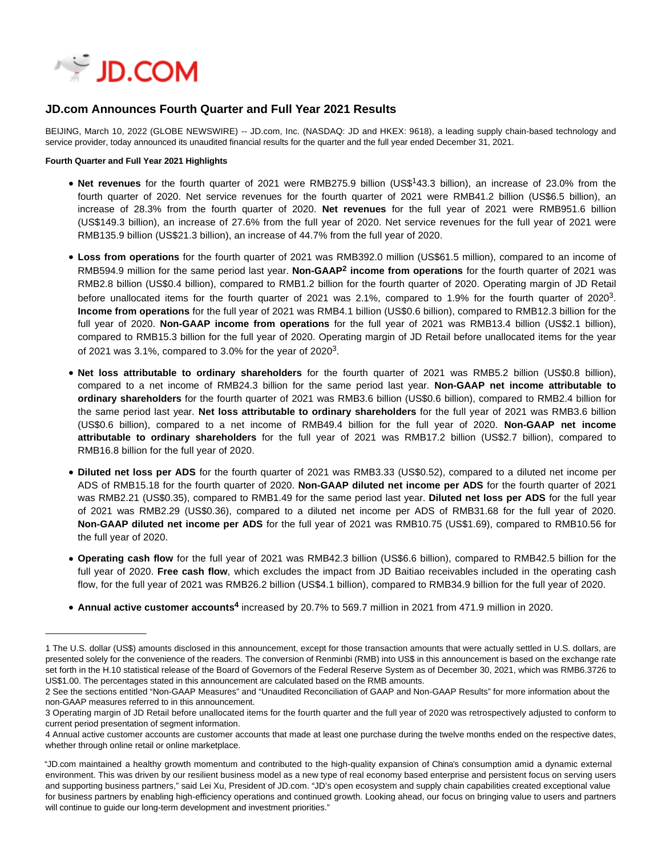

# **JD.com Announces Fourth Quarter and Full Year 2021 Results**

BEIJING, March 10, 2022 (GLOBE NEWSWIRE) -- JD.com, Inc. (NASDAQ: JD and HKEX: 9618), a leading supply chain-based technology and service provider, today announced its unaudited financial results for the quarter and the full year ended December 31, 2021.

### **Fourth Quarter and Full Year 2021 Highlights**

 $\_$ 

- **Net revenues** for the fourth quarter of 2021 were RMB275.9 billion (US\$143.3 billion), an increase of 23.0% from the fourth quarter of 2020. Net service revenues for the fourth quarter of 2021 were RMB41.2 billion (US\$6.5 billion), an increase of 28.3% from the fourth quarter of 2020. **Net revenues** for the full year of 2021 were RMB951.6 billion (US\$149.3 billion), an increase of 27.6% from the full year of 2020. Net service revenues for the full year of 2021 were RMB135.9 billion (US\$21.3 billion), an increase of 44.7% from the full year of 2020.
- **Loss from operations** for the fourth quarter of 2021 was RMB392.0 million (US\$61.5 million), compared to an income of RMB594.9 million for the same period last year. **Non-GAAP<sup>2</sup> income from operations** for the fourth quarter of 2021 was RMB2.8 billion (US\$0.4 billion), compared to RMB1.2 billion for the fourth quarter of 2020. Operating margin of JD Retail before unallocated items for the fourth quarter of 2021 was 2.1%, compared to 1.9% for the fourth quarter of 2020<sup>3</sup>. **Income from operations** for the full year of 2021 was RMB4.1 billion (US\$0.6 billion), compared to RMB12.3 billion for the full year of 2020. **Non-GAAP income from operations** for the full year of 2021 was RMB13.4 billion (US\$2.1 billion), compared to RMB15.3 billion for the full year of 2020. Operating margin of JD Retail before unallocated items for the year of 2021 was 3.1%, compared to 3.0% for the year of 2020<sup>3</sup>.
- **Net loss attributable to ordinary shareholders** for the fourth quarter of 2021 was RMB5.2 billion (US\$0.8 billion), compared to a net income of RMB24.3 billion for the same period last year. **Non-GAAP net income attributable to ordinary shareholders** for the fourth quarter of 2021 was RMB3.6 billion (US\$0.6 billion), compared to RMB2.4 billion for the same period last year. **Net loss attributable to ordinary shareholders** for the full year of 2021 was RMB3.6 billion (US\$0.6 billion), compared to a net income of RMB49.4 billion for the full year of 2020. **Non-GAAP net income attributable to ordinary shareholders** for the full year of 2021 was RMB17.2 billion (US\$2.7 billion), compared to RMB16.8 billion for the full year of 2020.
- **Diluted net loss per ADS** for the fourth quarter of 2021 was RMB3.33 (US\$0.52), compared to a diluted net income per ADS of RMB15.18 for the fourth quarter of 2020. **Non-GAAP diluted net income per ADS** for the fourth quarter of 2021 was RMB2.21 (US\$0.35), compared to RMB1.49 for the same period last year. **Diluted net loss per ADS** for the full year of 2021 was RMB2.29 (US\$0.36), compared to a diluted net income per ADS of RMB31.68 for the full year of 2020. **Non-GAAP diluted net income per ADS** for the full year of 2021 was RMB10.75 (US\$1.69), compared to RMB10.56 for the full year of 2020.
- **Operating cash flow** for the full year of 2021 was RMB42.3 billion (US\$6.6 billion), compared to RMB42.5 billion for the full year of 2020. **Free cash flow**, which excludes the impact from JD Baitiao receivables included in the operating cash flow, for the full year of 2021 was RMB26.2 billion (US\$4.1 billion), compared to RMB34.9 billion for the full year of 2020.
- **Annual active customer accounts<sup>4</sup>** increased by 20.7% to 569.7 million in 2021 from 471.9 million in 2020.

<sup>1</sup> The U.S. dollar (US\$) amounts disclosed in this announcement, except for those transaction amounts that were actually settled in U.S. dollars, are presented solely for the convenience of the readers. The conversion of Renminbi (RMB) into US\$ in this announcement is based on the exchange rate set forth in the H.10 statistical release of the Board of Governors of the Federal Reserve System as of December 30, 2021, which was RMB6.3726 to US\$1.00. The percentages stated in this announcement are calculated based on the RMB amounts.

<sup>2</sup> See the sections entitled "Non-GAAP Measures" and "Unaudited Reconciliation of GAAP and Non-GAAP Results" for more information about the non-GAAP measures referred to in this announcement.

<sup>3</sup> Operating margin of JD Retail before unallocated items for the fourth quarter and the full year of 2020 was retrospectively adjusted to conform to current period presentation of segment information.

<sup>4</sup> Annual active customer accounts are customer accounts that made at least one purchase during the twelve months ended on the respective dates, whether through online retail or online marketplace.

<sup>&</sup>quot;JD.com maintained a healthy growth momentum and contributed to the high-quality expansion of China's consumption amid a dynamic external environment. This was driven by our resilient business model as a new type of real economy based enterprise and persistent focus on serving users and supporting business partners," said Lei Xu, President of JD.com. "JD's open ecosystem and supply chain capabilities created exceptional value for business partners by enabling high-efficiency operations and continued growth. Looking ahead, our focus on bringing value to users and partners will continue to guide our long-term development and investment priorities."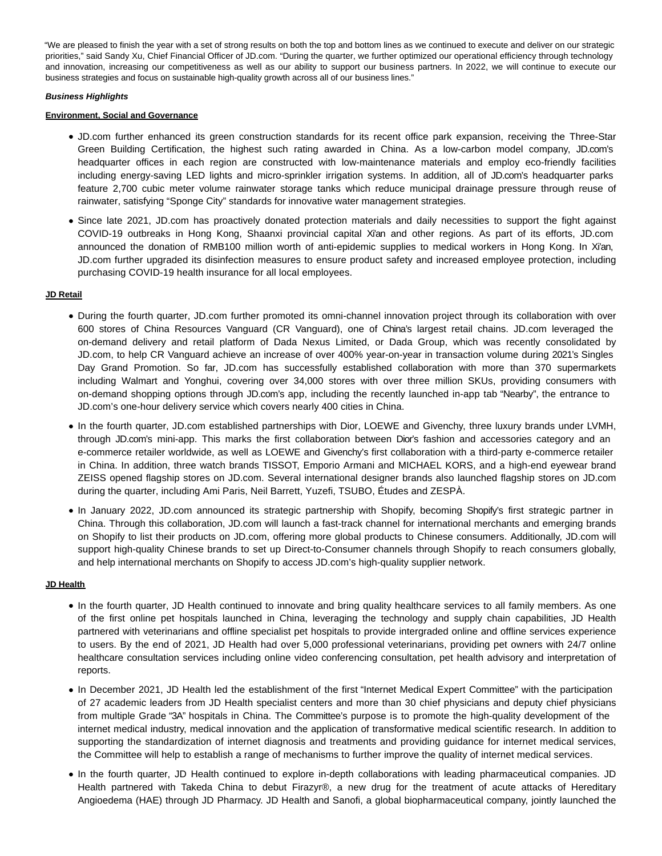"We are pleased to finish the year with a set of strong results on both the top and bottom lines as we continued to execute and deliver on our strategic priorities," said Sandy Xu, Chief Financial Officer of JD.com. "During the quarter, we further optimized our operational efficiency through technology and innovation, increasing our competitiveness as well as our ability to support our business partners. In 2022, we will continue to execute our business strategies and focus on sustainable high-quality growth across all of our business lines."

### **Business Highlights**

### **Environment, Social and Governance**

- JD.com further enhanced its green construction standards for its recent office park expansion, receiving the Three-Star Green Building Certification, the highest such rating awarded in China. As a low-carbon model company, JD.com's headquarter offices in each region are constructed with low-maintenance materials and employ eco-friendly facilities including energy-saving LED lights and micro-sprinkler irrigation systems. In addition, all of JD.com's headquarter parks feature 2,700 cubic meter volume rainwater storage tanks which reduce municipal drainage pressure through reuse of rainwater, satisfying "Sponge City" standards for innovative water management strategies.
- Since late 2021, JD.com has proactively donated protection materials and daily necessities to support the fight against COVID-19 outbreaks in Hong Kong, Shaanxi provincial capital Xi'an and other regions. As part of its efforts, JD.com announced the donation of RMB100 million worth of anti-epidemic supplies to medical workers in Hong Kong. In Xi'an, JD.com further upgraded its disinfection measures to ensure product safety and increased employee protection, including purchasing COVID-19 health insurance for all local employees.

## **JD Retail**

- During the fourth quarter, JD.com further promoted its omni-channel innovation project through its collaboration with over 600 stores of China Resources Vanguard (CR Vanguard), one of China's largest retail chains. JD.com leveraged the on-demand delivery and retail platform of Dada Nexus Limited, or Dada Group, which was recently consolidated by JD.com, to help CR Vanguard achieve an increase of over 400% year-on-year in transaction volume during 2021's Singles Day Grand Promotion. So far, JD.com has successfully established collaboration with more than 370 supermarkets including Walmart and Yonghui, covering over 34,000 stores with over three million SKUs, providing consumers with on-demand shopping options through JD.com's app, including the recently launched in-app tab "Nearby", the entrance to JD.com's one-hour delivery service which covers nearly 400 cities in China.
- In the fourth quarter, JD.com established partnerships with Dior, LOEWE and Givenchy, three luxury brands under LVMH, through JD.com's mini-app. This marks the first collaboration between Dior's fashion and accessories category and an e-commerce retailer worldwide, as well as LOEWE and Givenchy's first collaboration with a third-party e-commerce retailer in China. In addition, three watch brands TISSOT, Emporio Armani and MICHAEL KORS, and a high-end eyewear brand ZEISS opened flagship stores on JD.com. Several international designer brands also launched flagship stores on JD.com during the quarter, including Ami Paris, Neil Barrett, Yuzefi, TSUBO, Études and ZESPÀ.
- In January 2022, JD.com announced its strategic partnership with Shopify, becoming Shopify's first strategic partner in China. Through this collaboration, JD.com will launch a fast-track channel for international merchants and emerging brands on Shopify to list their products on JD.com, offering more global products to Chinese consumers. Additionally, JD.com will support high-quality Chinese brands to set up Direct-to-Consumer channels through Shopify to reach consumers globally, and help international merchants on Shopify to access JD.com's high-quality supplier network.

## **JD Health**

- In the fourth quarter, JD Health continued to innovate and bring quality healthcare services to all family members. As one of the first online pet hospitals launched in China, leveraging the technology and supply chain capabilities, JD Health partnered with veterinarians and offline specialist pet hospitals to provide intergraded online and offline services experience to users. By the end of 2021, JD Health had over 5,000 professional veterinarians, providing pet owners with 24/7 online healthcare consultation services including online video conferencing consultation, pet health advisory and interpretation of reports.
- In December 2021, JD Health led the establishment of the first "Internet Medical Expert Committee" with the participation of 27 academic leaders from JD Health specialist centers and more than 30 chief physicians and deputy chief physicians from multiple Grade "3A" hospitals in China. The Committee's purpose is to promote the high-quality development of the internet medical industry, medical innovation and the application of transformative medical scientific research. In addition to supporting the standardization of internet diagnosis and treatments and providing guidance for internet medical services, the Committee will help to establish a range of mechanisms to further improve the quality of internet medical services.
- In the fourth quarter, JD Health continued to explore in-depth collaborations with leading pharmaceutical companies. JD Health partnered with Takeda China to debut Firazyr®, a new drug for the treatment of acute attacks of Hereditary Angioedema (HAE) through JD Pharmacy. JD Health and Sanofi, a global biopharmaceutical company, jointly launched the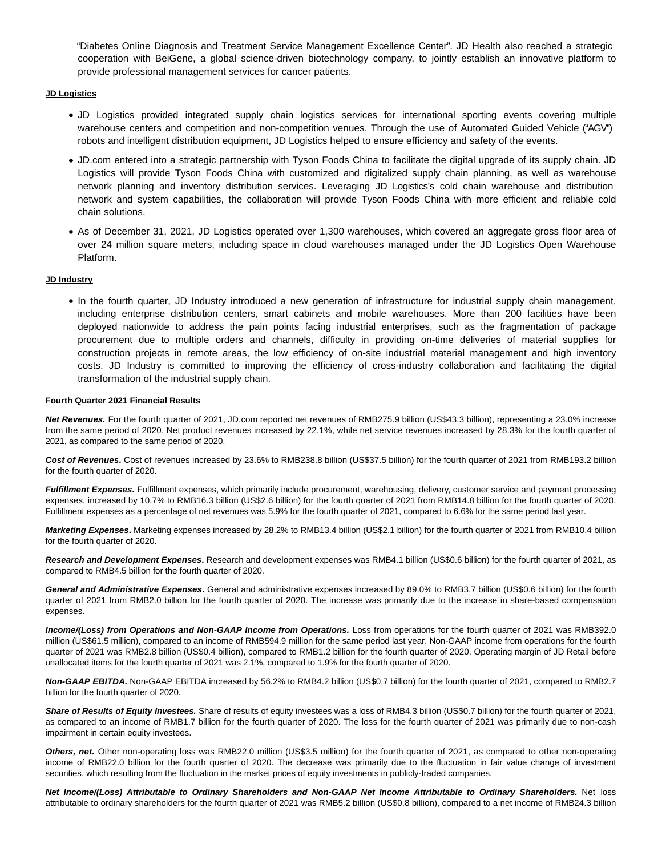"Diabetes Online Diagnosis and Treatment Service Management Excellence Center". JD Health also reached a strategic cooperation with BeiGene, a global science-driven biotechnology company, to jointly establish an innovative platform to provide professional management services for cancer patients.

### **JD Logistics**

- JD Logistics provided integrated supply chain logistics services for international sporting events covering multiple warehouse centers and competition and non-competition venues. Through the use of Automated Guided Vehicle ("AGV") robots and intelligent distribution equipment, JD Logistics helped to ensure efficiency and safety of the events.
- JD.com entered into a strategic partnership with Tyson Foods China to facilitate the digital upgrade of its supply chain. JD Logistics will provide Tyson Foods China with customized and digitalized supply chain planning, as well as warehouse network planning and inventory distribution services. Leveraging JD Logistics's cold chain warehouse and distribution network and system capabilities, the collaboration will provide Tyson Foods China with more efficient and reliable cold chain solutions.
- As of December 31, 2021, JD Logistics operated over 1,300 warehouses, which covered an aggregate gross floor area of over 24 million square meters, including space in cloud warehouses managed under the JD Logistics Open Warehouse Platform.

### **JD Industry**

• In the fourth quarter, JD Industry introduced a new generation of infrastructure for industrial supply chain management, including enterprise distribution centers, smart cabinets and mobile warehouses. More than 200 facilities have been deployed nationwide to address the pain points facing industrial enterprises, such as the fragmentation of package procurement due to multiple orders and channels, difficulty in providing on-time deliveries of material supplies for construction projects in remote areas, the low efficiency of on-site industrial material management and high inventory costs. JD Industry is committed to improving the efficiency of cross-industry collaboration and facilitating the digital transformation of the industrial supply chain.

### **Fourth Quarter 2021 Financial Results**

**Net Revenues.** For the fourth quarter of 2021, JD.com reported net revenues of RMB275.9 billion (US\$43.3 billion), representing a 23.0% increase from the same period of 2020. Net product revenues increased by 22.1%, while net service revenues increased by 28.3% for the fourth quarter of 2021, as compared to the same period of 2020.

**Cost of Revenues.** Cost of revenues increased by 23.6% to RMB238.8 billion (US\$37.5 billion) for the fourth quarter of 2021 from RMB193.2 billion for the fourth quarter of 2020.

**Fulfillment Expenses.** Fulfillment expenses, which primarily include procurement, warehousing, delivery, customer service and payment processing expenses, increased by 10.7% to RMB16.3 billion (US\$2.6 billion) for the fourth quarter of 2021 from RMB14.8 billion for the fourth quarter of 2020. Fulfillment expenses as a percentage of net revenues was 5.9% for the fourth quarter of 2021, compared to 6.6% for the same period last year.

**Marketing Expenses.** Marketing expenses increased by 28.2% to RMB13.4 billion (US\$2.1 billion) for the fourth quarter of 2021 from RMB10.4 billion for the fourth quarter of 2020.

**Research and Development Expenses.** Research and development expenses was RMB4.1 billion (US\$0.6 billion) for the fourth quarter of 2021, as compared to RMB4.5 billion for the fourth quarter of 2020.

**General and Administrative Expenses.** General and administrative expenses increased by 89.0% to RMB3.7 billion (US\$0.6 billion) for the fourth quarter of 2021 from RMB2.0 billion for the fourth quarter of 2020. The increase was primarily due to the increase in share-based compensation expenses.

**Income/(Loss) from Operations and Non-GAAP Income from Operations.** Loss from operations for the fourth quarter of 2021 was RMB392.0 million (US\$61.5 million), compared to an income of RMB594.9 million for the same period last year. Non-GAAP income from operations for the fourth quarter of 2021 was RMB2.8 billion (US\$0.4 billion), compared to RMB1.2 billion for the fourth quarter of 2020. Operating margin of JD Retail before unallocated items for the fourth quarter of 2021 was 2.1%, compared to 1.9% for the fourth quarter of 2020.

**Non-GAAP EBITDA.** Non-GAAP EBITDA increased by 56.2% to RMB4.2 billion (US\$0.7 billion) for the fourth quarter of 2021, compared to RMB2.7 billion for the fourth quarter of 2020.

**Share of Results of Equity Investees.** Share of results of equity investees was a loss of RMB4.3 billion (US\$0.7 billion) for the fourth quarter of 2021, as compared to an income of RMB1.7 billion for the fourth quarter of 2020. The loss for the fourth quarter of 2021 was primarily due to non-cash impairment in certain equity investees.

**Others, net.** Other non-operating loss was RMB22.0 million (US\$3.5 million) for the fourth quarter of 2021, as compared to other non-operating income of RMB22.0 billion for the fourth quarter of 2020. The decrease was primarily due to the fluctuation in fair value change of investment securities, which resulting from the fluctuation in the market prices of equity investments in publicly-traded companies.

**Net Income/(Loss) Attributable to Ordinary Shareholders and Non-GAAP Net Income Attributable to Ordinary Shareholders.** Net loss attributable to ordinary shareholders for the fourth quarter of 2021 was RMB5.2 billion (US\$0.8 billion), compared to a net income of RMB24.3 billion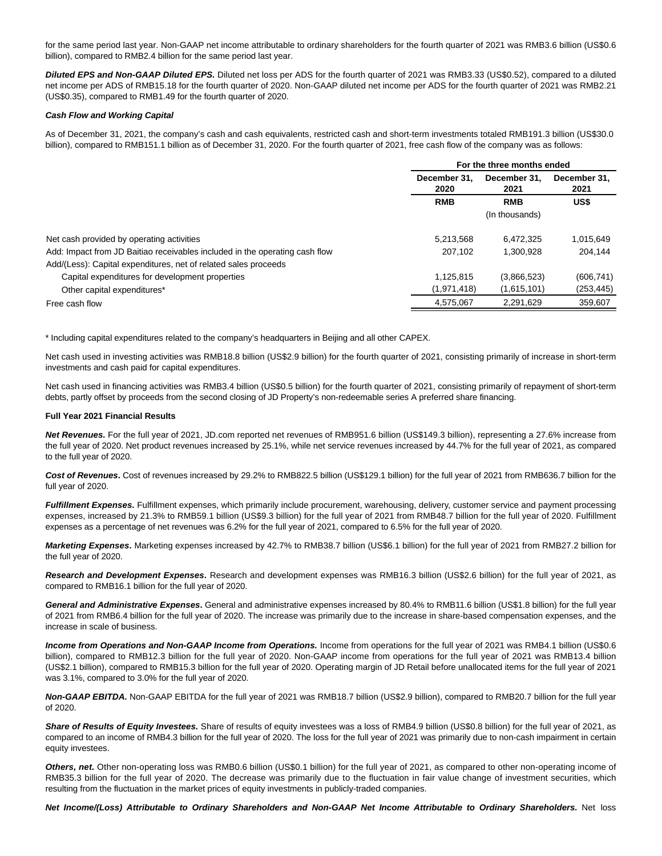for the same period last year. Non-GAAP net income attributable to ordinary shareholders for the fourth quarter of 2021 was RMB3.6 billion (US\$0.6 billion), compared to RMB2.4 billion for the same period last year.

**Diluted EPS and Non-GAAP Diluted EPS.** Diluted net loss per ADS for the fourth quarter of 2021 was RMB3.33 (US\$0.52), compared to a diluted net income per ADS of RMB15.18 for the fourth quarter of 2020. Non-GAAP diluted net income per ADS for the fourth quarter of 2021 was RMB2.21 (US\$0.35), compared to RMB1.49 for the fourth quarter of 2020.

### **Cash Flow and Working Capital**

As of December 31, 2021, the company's cash and cash equivalents, restricted cash and short-term investments totaled RMB191.3 billion (US\$30.0 billion), compared to RMB151.1 billion as of December 31, 2020. For the fourth quarter of 2021, free cash flow of the company was as follows:

|                                                                             | For the three months ended |                      |                      |  |  |
|-----------------------------------------------------------------------------|----------------------------|----------------------|----------------------|--|--|
|                                                                             | December 31.<br>2020       | December 31.<br>2021 | December 31.<br>2021 |  |  |
|                                                                             | <b>RMB</b>                 | US\$                 |                      |  |  |
|                                                                             | (In thousands)             |                      |                      |  |  |
| Net cash provided by operating activities                                   | 5.213.568                  | 6.472.325            | 1,015,649            |  |  |
| Add: Impact from JD Baitiao receivables included in the operating cash flow | 207.102                    | 1.300.928            | 204.144              |  |  |
| Add/(Less): Capital expenditures, net of related sales proceeds             |                            |                      |                      |  |  |
| Capital expenditures for development properties                             | 1.125.815                  | (3,866,523)          | (606, 741)           |  |  |
| Other capital expenditures*                                                 | (1,971,418)                | (1,615,101)          | (253, 445)           |  |  |
| Free cash flow                                                              | 4.575.067                  | 2.291.629            | 359,607              |  |  |
|                                                                             |                            |                      |                      |  |  |

\* Including capital expenditures related to the company's headquarters in Beijing and all other CAPEX.

Net cash used in investing activities was RMB18.8 billion (US\$2.9 billion) for the fourth quarter of 2021, consisting primarily of increase in short-term investments and cash paid for capital expenditures.

Net cash used in financing activities was RMB3.4 billion (US\$0.5 billion) for the fourth quarter of 2021, consisting primarily of repayment of short-term debts, partly offset by proceeds from the second closing of JD Property's non-redeemable series A preferred share financing.

### **Full Year 2021 Financial Results**

Net Revenues. For the full year of 2021, JD.com reported net revenues of RMB951.6 billion (US\$149.3 billion), representing a 27.6% increase from the full year of 2020. Net product revenues increased by 25.1%, while net service revenues increased by 44.7% for the full year of 2021, as compared to the full year of 2020.

Cost of Revenues. Cost of revenues increased by 29.2% to RMB822.5 billion (US\$129.1 billion) for the full year of 2021 from RMB636.7 billion for the full year of 2020.

**Fulfillment Expenses.** Fulfillment expenses, which primarily include procurement, warehousing, delivery, customer service and payment processing expenses, increased by 21.3% to RMB59.1 billion (US\$9.3 billion) for the full year of 2021 from RMB48.7 billion for the full year of 2020. Fulfillment expenses as a percentage of net revenues was 6.2% for the full year of 2021, compared to 6.5% for the full year of 2020.

**Marketing Expenses.** Marketing expenses increased by 42.7% to RMB38.7 billion (US\$6.1 billion) for the full year of 2021 from RMB27.2 billion for the full year of 2020.

**Research and Development Expenses.** Research and development expenses was RMB16.3 billion (US\$2.6 billion) for the full year of 2021, as compared to RMB16.1 billion for the full year of 2020.

**General and Administrative Expenses.** General and administrative expenses increased by 80.4% to RMB11.6 billion (US\$1.8 billion) for the full year of 2021 from RMB6.4 billion for the full year of 2020. The increase was primarily due to the increase in share-based compensation expenses, and the increase in scale of business.

**Income from Operations and Non-GAAP Income from Operations.** Income from operations for the full year of 2021 was RMB4.1 billion (US\$0.6 billion), compared to RMB12.3 billion for the full year of 2020. Non-GAAP income from operations for the full year of 2021 was RMB13.4 billion (US\$2.1 billion), compared to RMB15.3 billion for the full year of 2020. Operating margin of JD Retail before unallocated items for the full year of 2021 was 3.1%, compared to 3.0% for the full year of 2020.

**Non-GAAP EBITDA.** Non-GAAP EBITDA for the full year of 2021 was RMB18.7 billion (US\$2.9 billion), compared to RMB20.7 billion for the full year of 2020.

**Share of Results of Equity Investees.** Share of results of equity investees was a loss of RMB4.9 billion (US\$0.8 billion) for the full year of 2021, as compared to an income of RMB4.3 billion for the full year of 2020. The loss for the full year of 2021 was primarily due to non-cash impairment in certain equity investees.

Others, net. Other non-operating loss was RMB0.6 billion (US\$0.1 billion) for the full year of 2021, as compared to other non-operating income of RMB35.3 billion for the full year of 2020. The decrease was primarily due to the fluctuation in fair value change of investment securities, which resulting from the fluctuation in the market prices of equity investments in publicly-traded companies.

**Net Income/(Loss) Attributable to Ordinary Shareholders and Non-GAAP Net Income Attributable to Ordinary Shareholders.** Net loss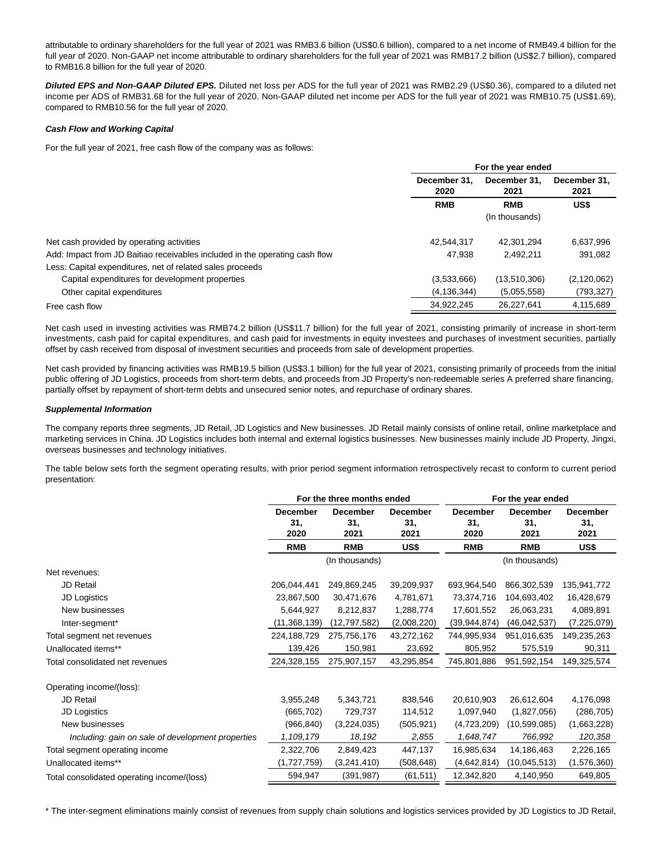attributable to ordinary shareholders for the full year of 2021 was RMB3.6 billion (US\$0.6 billion), compared to a net income of RMB49.4 billion for the full year of 2020. Non-GAAP net income attributable to ordinary shareholders for the full year of 2021 was RMB17.2 billion (US\$2.7 billion), compared to RMB16.8 billion for the full year of 2020.

**Diluted EPS and Non-GAAP Diluted EPS.** Diluted net loss per ADS for the full year of 2021 was RMB2.29 (US\$0.36), compared to a diluted net income per ADS of RMB31.68 for the full year of 2020. Non-GAAP diluted net income per ADS for the full year of 2021 was RMB10.75 (US\$1.69), compared to RMB10.56 for the full year of 2020.

### **Cash Flow and Working Capital**

For the full year of 2021, free cash flow of the company was as follows:

|                                                                             |                      | For the year ended   |                      |  |  |  |
|-----------------------------------------------------------------------------|----------------------|----------------------|----------------------|--|--|--|
|                                                                             | December 31.<br>2020 | December 31.<br>2021 | December 31.<br>2021 |  |  |  |
|                                                                             | <b>RMB</b>           | US\$<br><b>RMB</b>   |                      |  |  |  |
|                                                                             |                      | (In thousands)       |                      |  |  |  |
| Net cash provided by operating activities                                   | 42.544.317           | 42.301.294           | 6,637,996            |  |  |  |
| Add: Impact from JD Baitiao receivables included in the operating cash flow | 47.938               | 2.492.211            | 391,082              |  |  |  |
| Less: Capital expenditures, net of related sales proceeds                   |                      |                      |                      |  |  |  |
| Capital expenditures for development properties                             | (3,533,666)          | (13,510,306)         | (2, 120, 062)        |  |  |  |
| Other capital expenditures                                                  | (4, 136, 344)        | (5.055.558)          | (793, 327)           |  |  |  |
| Free cash flow                                                              | 34.922.245           | 26.227.641           | 4,115,689            |  |  |  |

Net cash used in investing activities was RMB74.2 billion (US\$11.7 billion) for the full year of 2021, consisting primarily of increase in short-term investments, cash paid for capital expenditures, and cash paid for investments in equity investees and purchases of investment securities, partially offset by cash received from disposal of investment securities and proceeds from sale of development properties.

Net cash provided by financing activities was RMB19.5 billion (US\$3.1 billion) for the full year of 2021, consisting primarily of proceeds from the initial public offering of JD Logistics, proceeds from short-term debts, and proceeds from JD Property's non-redeemable series A preferred share financing, partially offset by repayment of short-term debts and unsecured senior notes, and repurchase of ordinary shares.

### **Supplemental Information**

The company reports three segments, JD Retail, JD Logistics and New businesses. JD Retail mainly consists of online retail, online marketplace and marketing services in China. JD Logistics includes both internal and external logistics businesses. New businesses mainly include JD Property, Jingxi, overseas businesses and technology initiatives.

The table below sets forth the segment operating results, with prior period segment information retrospectively recast to conform to current period presentation:

|                                                   |                 | For the three months ended |                 | For the year ended |                 |                 |
|---------------------------------------------------|-----------------|----------------------------|-----------------|--------------------|-----------------|-----------------|
|                                                   | <b>December</b> | <b>December</b>            | <b>December</b> | <b>December</b>    | <b>December</b> | <b>December</b> |
|                                                   | 31,<br>2020     | 31.<br>2021                | 31,<br>2021     | 31,<br>2020        | 31,<br>2021     | 31,<br>2021     |
|                                                   | <b>RMB</b>      | <b>RMB</b>                 | US\$            | <b>RMB</b>         | <b>RMB</b>      | US\$            |
|                                                   |                 | (In thousands)             |                 |                    | (In thousands)  |                 |
| Net revenues:                                     |                 |                            |                 |                    |                 |                 |
| <b>JD Retail</b>                                  | 206.044.441     | 249,869,245                | 39,209,937      | 693,964,540        | 866,302,539     | 135,941,772     |
| JD Logistics                                      | 23,867,500      | 30,471,676                 | 4,781,671       | 73,374,716         | 104,693,402     | 16,428,679      |
| New businesses                                    | 5,644,927       | 8,212,837                  | 1,288,774       | 17,601,552         | 26,063,231      | 4,089,891       |
| Inter-segment*                                    | (11,368,139)    | (12,797,582)               | (2,008,220)     | (39, 944, 874)     | (46,042,537)    | (7,225,079)     |
| Total segment net revenues                        | 224.188.729     | 275,756,176                | 43,272,162      | 744,995,934        | 951,016,635     | 149,235,263     |
| Unallocated items**                               | 139,426         | 150,981                    | 23,692          | 805,952            | 575,519         | 90,311          |
| Total consolidated net revenues                   | 224,328,155     | 275,907,157                | 43,295,854      | 745,801,886        | 951,592,154     | 149,325,574     |
| Operating income/(loss):                          |                 |                            |                 |                    |                 |                 |
| <b>JD Retail</b>                                  | 3,955,248       | 5,343,721                  | 838,546         | 20,610,903         | 26,612,604      | 4,176,098       |
| <b>JD Logistics</b>                               | (665, 702)      | 729,737                    | 114,512         | 1,097,940          | (1,827,056)     | (286, 705)      |
| New businesses                                    | (966, 840)      | (3,224,035)                | (505, 921)      | (4,723,209)        | (10, 599, 085)  | (1,663,228)     |
| Including: gain on sale of development properties | 1,109,179       | 18,192                     | 2,855           | 1,648,747          | 766,992         | 120,358         |
| Total segment operating income                    | 2,322,706       | 2,849,423                  | 447,137         | 16,985,634         | 14,186,463      | 2,226,165       |
| Unallocated items**                               | (1,727,759)     | (3,241,410)                | (508, 648)      | (4,642,814)        | (10,045,513)    | (1,576,360)     |
| Total consolidated operating income/(loss)        | 594,947         | (391, 987)                 | (61, 511)       | 12,342,820         | 4,140,950       | 649,805         |

\* The inter-segment eliminations mainly consist of revenues from supply chain solutions and logistics services provided by JD Logistics to JD Retail,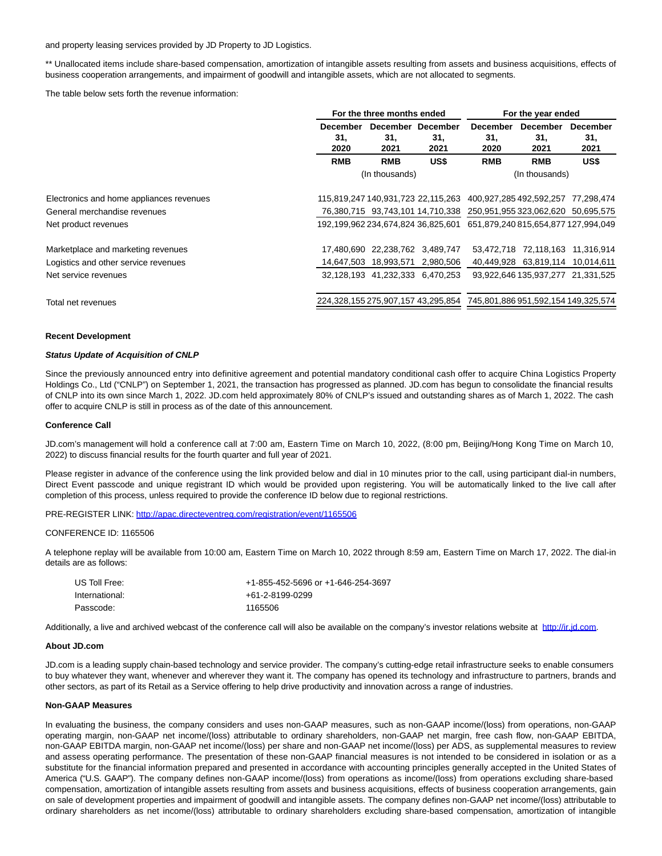and property leasing services provided by JD Property to JD Logistics.

\*\* Unallocated items include share-based compensation, amortization of intangible assets resulting from assets and business acquisitions, effects of business cooperation arrangements, and impairment of goodwill and intangible assets, which are not allocated to segments.

The table below sets forth the revenue information:

|                                          | For the three months ended     |                         |                                 |                                                                        | For the year ended               |                                   |  |
|------------------------------------------|--------------------------------|-------------------------|---------------------------------|------------------------------------------------------------------------|----------------------------------|-----------------------------------|--|
|                                          | <b>December</b><br>31.<br>2020 | December<br>31,<br>2021 | <b>December</b><br>31,<br>2021  | <b>December</b><br>31,<br>2020                                         | <b>December</b><br>31,<br>2021   | <b>December</b><br>31,<br>2021    |  |
|                                          | <b>RMB</b>                     | <b>RMB</b>              | US\$                            | <b>RMB</b>                                                             | <b>RMB</b>                       | US\$                              |  |
|                                          |                                | (In thousands)          |                                 | (In thousands)                                                         |                                  |                                   |  |
| Electronics and home appliances revenues |                                |                         |                                 | 115,819,247 140,931,723 22,115,263 400,927,285 492,592,257 77,298,474  |                                  |                                   |  |
| General merchandise revenues             |                                |                         |                                 | 76,380,715 93,743,101 14,710,338 250,951,955 323,062,620 50,695,575    |                                  |                                   |  |
| Net product revenues                     |                                |                         |                                 | 192,199,962 234,674,824 36,825,601 651,879,240 815,654,877 127,994,049 |                                  |                                   |  |
| Marketplace and marketing revenues       |                                |                         | 17,480,690 22,238,762 3,489,747 |                                                                        |                                  | 53,472,718 72,118,163 11,316,914  |  |
| Logistics and other service revenues     | 14,647,503                     |                         | 18,993,571 2,980,506            |                                                                        | 40,449,928 63,819,114 10,014,611 |                                   |  |
| Net service revenues                     |                                |                         | 32,128,193 41,232,333 6,470,253 |                                                                        |                                  | 93,922,646 135,937,277 21,331,525 |  |
| Total net revenues                       |                                |                         |                                 | 224,328,155 275,907,157 43,295,854 745,801,886 951,592,154 149,325,574 |                                  |                                   |  |

#### **Recent Development**

### **Status Update of Acquisition of CNLP**

Since the previously announced entry into definitive agreement and potential mandatory conditional cash offer to acquire China Logistics Property Holdings Co., Ltd ("CNLP") on September 1, 2021, the transaction has progressed as planned. JD.com has begun to consolidate the financial results of CNLP into its own since March 1, 2022. JD.com held approximately 80% of CNLP's issued and outstanding shares as of March 1, 2022. The cash offer to acquire CNLP is still in process as of the date of this announcement.

#### **Conference Call**

JD.com's management will hold a conference call at 7:00 am, Eastern Time on March 10, 2022, (8:00 pm, Beijing/Hong Kong Time on March 10, 2022) to discuss financial results for the fourth quarter and full year of 2021.

Please register in advance of the conference using the link provided below and dial in 10 minutes prior to the call, using participant dial-in numbers, Direct Event passcode and unique registrant ID which would be provided upon registering. You will be automatically linked to the live call after completion of this process, unless required to provide the conference ID below due to regional restrictions.

#### PRE-REGISTER LINK[: http://apac.directeventreg.com/registration/event/1165506](https://www.globenewswire.com/Tracker?data=t2LPZfgJv0uLC3Sdb_uXeJ1SCTdzw4Dsz0GhNne5ILdFWKD3D7GrK8p6pf0odeekWwaSrEvUjW7vf-4SHjrHUftx2-JzT4hwmHOcD3Z8g49Hn2RTlazJFsldBVTgQoZ_aiFhQUgIHQ8mynF0cePPorl63hkUJPgDf1coz2dgJunpkwBxQWmscsmlkyxBIxCi)

### CONFERENCE ID: 1165506

A telephone replay will be available from 10:00 am, Eastern Time on March 10, 2022 through 8:59 am, Eastern Time on March 17, 2022. The dial-in details are as follows:

| US Toll Free:  | +1-855-452-5696 or +1-646-254-3697 |
|----------------|------------------------------------|
| International: | +61-2-8199-0299                    |
| Passcode:      | 1165506                            |

Additionally, a live and archived webcast of the conference call will also be available on the company's investor relations website at [http://ir.jd.com.](https://www.globenewswire.com/Tracker?data=t2LPZfgJv0uLC3Sdb_uXeDJHpr1bIuBURgOmEpfWoox5S7jeXwAFX-pYsf6FjdDHdBZG0YI8Rl1Ijrm0XXimLA==)

#### **About JD.com**

JD.com is a leading supply chain-based technology and service provider. The company's cutting-edge retail infrastructure seeks to enable consumers to buy whatever they want, whenever and wherever they want it. The company has opened its technology and infrastructure to partners, brands and other sectors, as part of its Retail as a Service offering to help drive productivity and innovation across a range of industries.

#### **Non-GAAP Measures**

In evaluating the business, the company considers and uses non-GAAP measures, such as non-GAAP income/(loss) from operations, non-GAAP operating margin, non-GAAP net income/(loss) attributable to ordinary shareholders, non-GAAP net margin, free cash flow, non-GAAP EBITDA, non-GAAP EBITDA margin, non-GAAP net income/(loss) per share and non-GAAP net income/(loss) per ADS, as supplemental measures to review and assess operating performance. The presentation of these non-GAAP financial measures is not intended to be considered in isolation or as a substitute for the financial information prepared and presented in accordance with accounting principles generally accepted in the United States of America ("U.S. GAAP"). The company defines non-GAAP income/(loss) from operations as income/(loss) from operations excluding share-based compensation, amortization of intangible assets resulting from assets and business acquisitions, effects of business cooperation arrangements, gain on sale of development properties and impairment of goodwill and intangible assets. The company defines non-GAAP net income/(loss) attributable to ordinary shareholders as net income/(loss) attributable to ordinary shareholders excluding share-based compensation, amortization of intangible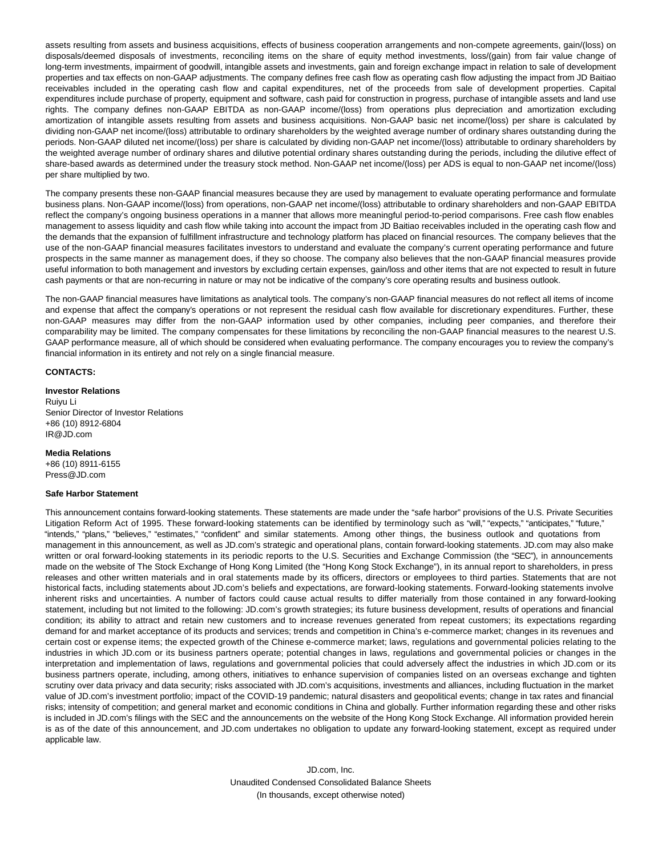assets resulting from assets and business acquisitions, effects of business cooperation arrangements and non-compete agreements, gain/(loss) on disposals/deemed disposals of investments, reconciling items on the share of equity method investments, loss/(gain) from fair value change of long-term investments, impairment of goodwill, intangible assets and investments, gain and foreign exchange impact in relation to sale of development properties and tax effects on non-GAAP adjustments. The company defines free cash flow as operating cash flow adjusting the impact from JD Baitiao receivables included in the operating cash flow and capital expenditures, net of the proceeds from sale of development properties. Capital expenditures include purchase of property, equipment and software, cash paid for construction in progress, purchase of intangible assets and land use rights. The company defines non-GAAP EBITDA as non-GAAP income/(loss) from operations plus depreciation and amortization excluding amortization of intangible assets resulting from assets and business acquisitions. Non-GAAP basic net income/(loss) per share is calculated by dividing non-GAAP net income/(loss) attributable to ordinary shareholders by the weighted average number of ordinary shares outstanding during the periods. Non-GAAP diluted net income/(loss) per share is calculated by dividing non-GAAP net income/(loss) attributable to ordinary shareholders by the weighted average number of ordinary shares and dilutive potential ordinary shares outstanding during the periods, including the dilutive effect of share-based awards as determined under the treasury stock method. Non-GAAP net income/(loss) per ADS is equal to non-GAAP net income/(loss) per share multiplied by two.

The company presents these non-GAAP financial measures because they are used by management to evaluate operating performance and formulate business plans. Non-GAAP income/(loss) from operations, non-GAAP net income/(loss) attributable to ordinary shareholders and non-GAAP EBITDA reflect the company's ongoing business operations in a manner that allows more meaningful period-to-period comparisons. Free cash flow enables management to assess liquidity and cash flow while taking into account the impact from JD Baitiao receivables included in the operating cash flow and the demands that the expansion of fulfillment infrastructure and technology platform has placed on financial resources. The company believes that the use of the non-GAAP financial measures facilitates investors to understand and evaluate the company's current operating performance and future prospects in the same manner as management does, if they so choose. The company also believes that the non-GAAP financial measures provide useful information to both management and investors by excluding certain expenses, gain/loss and other items that are not expected to result in future cash payments or that are non-recurring in nature or may not be indicative of the company's core operating results and business outlook.

The non-GAAP financial measures have limitations as analytical tools. The company's non-GAAP financial measures do not reflect all items of income and expense that affect the company's operations or not represent the residual cash flow available for discretionary expenditures. Further, these non-GAAP measures may differ from the non-GAAP information used by other companies, including peer companies, and therefore their comparability may be limited. The company compensates for these limitations by reconciling the non-GAAP financial measures to the nearest U.S. GAAP performance measure, all of which should be considered when evaluating performance. The company encourages you to review the company's financial information in its entirety and not rely on a single financial measure.

## **CONTACTS:**

**Investor Relations** Ruiyu Li Senior Director of Investor Relations +86 (10) 8912-6804 IR@JD.com

**Media Relations** +86 (10) 8911-6155 Press@JD.com

### **Safe Harbor Statement**

This announcement contains forward-looking statements. These statements are made under the "safe harbor" provisions of the U.S. Private Securities Litigation Reform Act of 1995. These forward-looking statements can be identified by terminology such as "will," "expects," "anticipates," "future," "intends," "plans," "believes," "estimates," "confident" and similar statements. Among other things, the business outlook and quotations from management in this announcement, as well as JD.com's strategic and operational plans, contain forward-looking statements. JD.com may also make written or oral forward-looking statements in its periodic reports to the U.S. Securities and Exchange Commission (the "SEC"), in announcements made on the website of The Stock Exchange of Hong Kong Limited (the "Hong Kong Stock Exchange"), in its annual report to shareholders, in press releases and other written materials and in oral statements made by its officers, directors or employees to third parties. Statements that are not historical facts, including statements about JD.com's beliefs and expectations, are forward-looking statements. Forward-looking statements involve inherent risks and uncertainties. A number of factors could cause actual results to differ materially from those contained in any forward-looking statement, including but not limited to the following: JD.com's growth strategies; its future business development, results of operations and financial condition; its ability to attract and retain new customers and to increase revenues generated from repeat customers; its expectations regarding demand for and market acceptance of its products and services; trends and competition in China's e-commerce market; changes in its revenues and certain cost or expense items; the expected growth of the Chinese e-commerce market; laws, regulations and governmental policies relating to the industries in which JD.com or its business partners operate; potential changes in laws, regulations and governmental policies or changes in the interpretation and implementation of laws, regulations and governmental policies that could adversely affect the industries in which JD.com or its business partners operate, including, among others, initiatives to enhance supervision of companies listed on an overseas exchange and tighten scrutiny over data privacy and data security; risks associated with JD.com's acquisitions, investments and alliances, including fluctuation in the market value of JD.com's investment portfolio; impact of the COVID-19 pandemic; natural disasters and geopolitical events; change in tax rates and financial risks; intensity of competition; and general market and economic conditions in China and globally. Further information regarding these and other risks is included in JD.com's filings with the SEC and the announcements on the website of the Hong Kong Stock Exchange. All information provided herein is as of the date of this announcement, and JD.com undertakes no obligation to update any forward-looking statement, except as required under applicable law.

> JD.com, Inc. Unaudited Condensed Consolidated Balance Sheets (In thousands, except otherwise noted)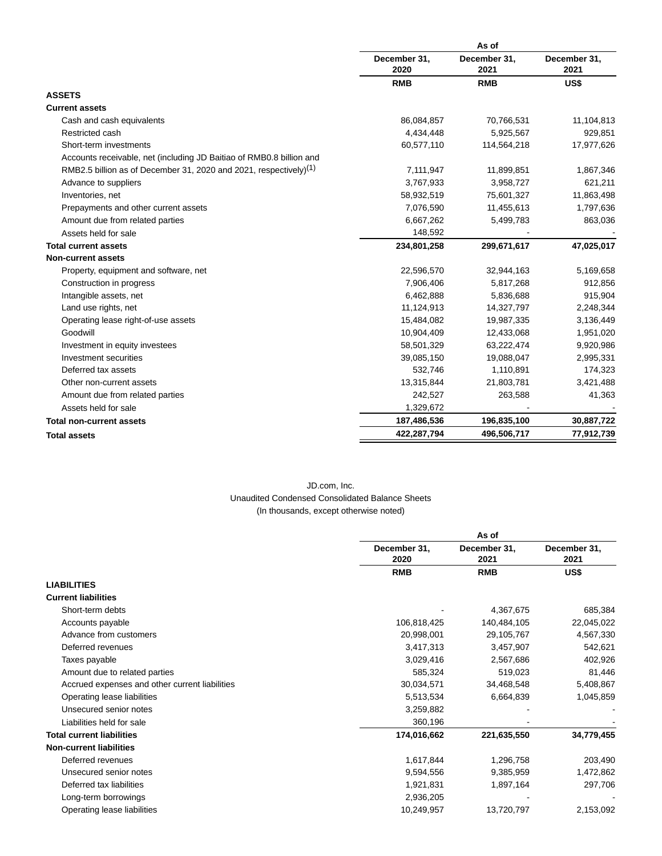|                                                                      | As of                |                      |                      |  |  |  |
|----------------------------------------------------------------------|----------------------|----------------------|----------------------|--|--|--|
|                                                                      | December 31,<br>2020 | December 31,<br>2021 | December 31,<br>2021 |  |  |  |
|                                                                      | <b>RMB</b>           | <b>RMB</b>           | US\$                 |  |  |  |
| <b>ASSETS</b>                                                        |                      |                      |                      |  |  |  |
| <b>Current assets</b>                                                |                      |                      |                      |  |  |  |
| Cash and cash equivalents                                            | 86,084,857           | 70,766,531           | 11,104,813           |  |  |  |
| Restricted cash                                                      | 4,434,448            | 5,925,567            | 929,851              |  |  |  |
| Short-term investments                                               | 60,577,110           | 114,564,218          | 17,977,626           |  |  |  |
| Accounts receivable, net (including JD Baitiao of RMB0.8 billion and |                      |                      |                      |  |  |  |
| RMB2.5 billion as of December 31, 2020 and 2021, respectively $(1)$  | 7,111,947            | 11,899,851           | 1,867,346            |  |  |  |
| Advance to suppliers                                                 | 3,767,933            | 3,958,727            | 621,211              |  |  |  |
| Inventories, net                                                     | 58,932,519           | 75,601,327           | 11,863,498           |  |  |  |
| Prepayments and other current assets                                 | 7,076,590            | 11,455,613           | 1,797,636            |  |  |  |
| Amount due from related parties                                      | 6,667,262            | 5,499,783            | 863,036              |  |  |  |
| Assets held for sale                                                 | 148,592              |                      |                      |  |  |  |
| <b>Total current assets</b>                                          | 234,801,258          | 299,671,617          | 47,025,017           |  |  |  |
| <b>Non-current assets</b>                                            |                      |                      |                      |  |  |  |
| Property, equipment and software, net                                | 22,596,570           | 32,944,163           | 5,169,658            |  |  |  |
| Construction in progress                                             | 7,906,406            | 5,817,268            | 912,856              |  |  |  |
| Intangible assets, net                                               | 6,462,888            | 5,836,688            | 915,904              |  |  |  |
| Land use rights, net                                                 | 11,124,913           | 14,327,797           | 2,248,344            |  |  |  |
| Operating lease right-of-use assets                                  | 15,484,082           | 19,987,335           | 3,136,449            |  |  |  |
| Goodwill                                                             | 10,904,409           | 12,433,068           | 1,951,020            |  |  |  |
| Investment in equity investees                                       | 58,501,329           | 63,222,474           | 9,920,986            |  |  |  |
| Investment securities                                                | 39,085,150           | 19,088,047           | 2,995,331            |  |  |  |
| Deferred tax assets                                                  | 532,746              | 1,110,891            | 174,323              |  |  |  |
| Other non-current assets                                             | 13,315,844           | 21,803,781           | 3,421,488            |  |  |  |
| Amount due from related parties                                      | 242,527              | 263,588              | 41,363               |  |  |  |
| Assets held for sale                                                 | 1,329,672            |                      |                      |  |  |  |
| <b>Total non-current assets</b>                                      | 187,486,536          | 196,835,100          | 30,887,722           |  |  |  |
| Total assets                                                         | 422,287,794          | 496,506,717          | 77,912,739           |  |  |  |

JD.com, Inc. Unaudited Condensed Consolidated Balance Sheets (In thousands, except otherwise noted)

|                                                | As of                |                      |                      |  |  |
|------------------------------------------------|----------------------|----------------------|----------------------|--|--|
|                                                | December 31,<br>2020 | December 31,<br>2021 | December 31,<br>2021 |  |  |
|                                                | <b>RMB</b>           | <b>RMB</b>           | US\$                 |  |  |
| <b>LIABILITIES</b>                             |                      |                      |                      |  |  |
| <b>Current liabilities</b>                     |                      |                      |                      |  |  |
| Short-term debts                               |                      | 4,367,675            | 685,384              |  |  |
| Accounts payable                               | 106,818,425          | 140,484,105          | 22,045,022           |  |  |
| Advance from customers                         | 20,998,001           | 29,105,767           | 4,567,330            |  |  |
| Deferred revenues                              | 3,417,313            | 3,457,907            | 542,621              |  |  |
| Taxes payable                                  | 3,029,416            | 2,567,686            | 402,926              |  |  |
| Amount due to related parties                  | 585,324              | 519,023              | 81,446               |  |  |
| Accrued expenses and other current liabilities | 30,034,571           | 34,468,548           | 5,408,867            |  |  |
| Operating lease liabilities                    | 5,513,534            | 6,664,839            | 1,045,859            |  |  |
| Unsecured senior notes                         | 3,259,882            |                      |                      |  |  |
| Liabilities held for sale                      | 360,196              |                      |                      |  |  |
| <b>Total current liabilities</b>               | 174,016,662          | 221,635,550          | 34,779,455           |  |  |
| <b>Non-current liabilities</b>                 |                      |                      |                      |  |  |
| Deferred revenues                              | 1,617,844            | 1,296,758            | 203,490              |  |  |
| Unsecured senior notes                         | 9,594,556            | 9,385,959            | 1,472,862            |  |  |
| Deferred tax liabilities                       | 1,921,831            | 1,897,164            | 297,706              |  |  |
| Long-term borrowings                           | 2,936,205            |                      |                      |  |  |
| Operating lease liabilities                    | 10,249,957           | 13,720,797           | 2,153,092            |  |  |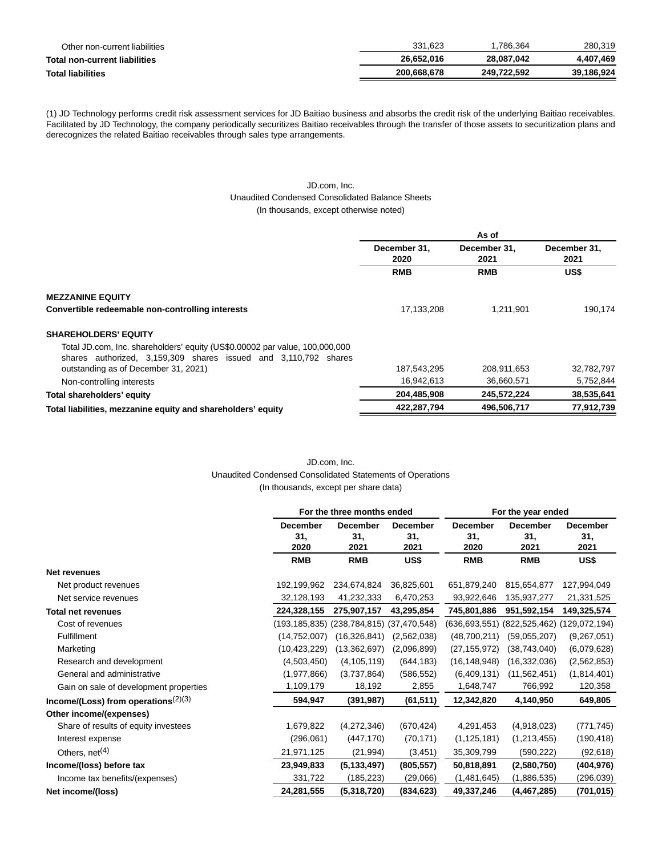| Other non-current liabilities | 331.623     | .786.364    | 280.319    |
|-------------------------------|-------------|-------------|------------|
| Total non-current liabilities | 26.652.016  | 28.087.042  | 4.407.469  |
| <b>Total liabilities</b>      | 200.668.678 | 249.722.592 | 39.186.924 |

(1) JD Technology performs credit risk assessment services for JD Baitiao business and absorbs the credit risk of the underlying Baitiao receivables. Facilitated by JD Technology, the company periodically securitizes Baitiao receivables through the transfer of those assets to securitization plans and derecognizes the related Baitiao receivables through sales type arrangements.

## JD.com, Inc. Unaudited Condensed Consolidated Balance Sheets (In thousands, except otherwise noted)

|                                                                             | As of                |                      |                      |  |  |
|-----------------------------------------------------------------------------|----------------------|----------------------|----------------------|--|--|
|                                                                             | December 31,<br>2020 | December 31,<br>2021 | December 31,<br>2021 |  |  |
|                                                                             | <b>RMB</b>           | <b>RMB</b>           | US\$                 |  |  |
| <b>MEZZANINE EQUITY</b>                                                     |                      |                      |                      |  |  |
| Convertible redeemable non-controlling interests                            | 17,133,208           | 1.211.901            | 190,174              |  |  |
| <b>SHAREHOLDERS' EQUITY</b>                                                 |                      |                      |                      |  |  |
| Total JD.com, Inc. shareholders' equity (US\$0.00002 par value, 100,000,000 |                      |                      |                      |  |  |
| shares authorized, 3,159,309 shares issued and 3,110,792 shares             |                      |                      |                      |  |  |
| outstanding as of December 31, 2021)                                        | 187,543,295          | 208,911,653          | 32,782,797           |  |  |
| Non-controlling interests                                                   | 16.942.613           | 36,660,571           | 5,752,844            |  |  |
| Total shareholders' equity                                                  | 204,485,908          | 245,572,224          | 38,535,641           |  |  |
| Total liabilities, mezzanine equity and shareholders' equity                | 422,287,794          | 496,506,717          | 77,912,739           |  |  |

JD.com, Inc. Unaudited Condensed Consolidated Statements of Operations (In thousands, except per share data)

|                                        | For the three months ended | For the year ended                             |                 |                 |                 |                                           |
|----------------------------------------|----------------------------|------------------------------------------------|-----------------|-----------------|-----------------|-------------------------------------------|
|                                        | <b>December</b>            | <b>December</b>                                | <b>December</b> | <b>December</b> | <b>December</b> | <b>December</b>                           |
|                                        | 31,<br>2020                | 31,<br>2021                                    | 31,<br>2021     | 31,<br>2020     | 31,<br>2021     | 31,<br>2021                               |
|                                        | <b>RMB</b>                 | <b>RMB</b>                                     | US\$            | <b>RMB</b>      | <b>RMB</b>      | US\$                                      |
| <b>Net revenues</b>                    |                            |                                                |                 |                 |                 |                                           |
| Net product revenues                   | 192,199,962                | 234,674,824                                    | 36,825,601      | 651.879.240     | 815,654,877     | 127,994,049                               |
| Net service revenues                   | 32,128,193                 | 41,232,333                                     | 6,470,253       | 93,922,646      | 135,937,277     | 21,331,525                                |
| <b>Total net revenues</b>              | 224,328,155                | 275,907,157                                    | 43,295,854      | 745,801,886     | 951,592,154     | 149,325,574                               |
| Cost of revenues                       |                            | (193, 185, 835) (238, 784, 815) (37, 470, 548) |                 |                 |                 | (636,693,551) (822,525,462) (129,072,194) |
| Fulfillment                            | (14, 752, 007)             | (16,326,841)                                   | (2,562,038)     | (48,700,211)    | (59,055,207)    | (9,267,051)                               |
| Marketing                              | (10, 423, 229)             | (13,362,697)                                   | (2,096,899)     | (27, 155, 972)  | (38, 743, 040)  | (6,079,628)                               |
| Research and development               | (4,503,450)                | (4, 105, 119)                                  | (644, 183)      | (16, 148, 948)  | (16, 332, 036)  | (2,562,853)                               |
| General and administrative             | (1,977,866)                | (3,737,864)                                    | (586, 552)      | (6,409,131)     | (11, 562, 451)  | (1,814,401)                               |
| Gain on sale of development properties | 1,109,179                  | 18,192                                         | 2,855           | 1,648,747       | 766,992         | 120,358                                   |
| Income/(Loss) from operations $(2)(3)$ | 594,947                    | (391, 987)                                     | (61, 511)       | 12,342,820      | 4,140,950       | 649,805                                   |
| Other income/(expenses)                |                            |                                                |                 |                 |                 |                                           |
| Share of results of equity investees   | 1,679,822                  | (4,272,346)                                    | (670, 424)      | 4,291,453       | (4,918,023)     | (771, 745)                                |
| Interest expense                       | (296,061)                  | (447, 170)                                     | (70, 171)       | (1, 125, 181)   | (1,213,455)     | (190, 418)                                |
| Others, $net(4)$                       | 21,971,125                 | (21, 994)                                      | (3, 451)        | 35,309,799      | (590, 222)      | (92, 618)                                 |
| Income/(loss) before tax               | 23,949,833                 | (5, 133, 497)                                  | (805, 557)      | 50,818,891      | (2,580,750)     | (404, 976)                                |
| Income tax benefits/(expenses)         | 331,722                    | (185, 223)                                     | (29,066)        | (1,481,645)     | (1,886,535)     | (296, 039)                                |
| Net income/(loss)                      | 24,281,555                 | (5,318,720)                                    | (834, 623)      | 49,337,246      | (4,467,285)     | (701, 015)                                |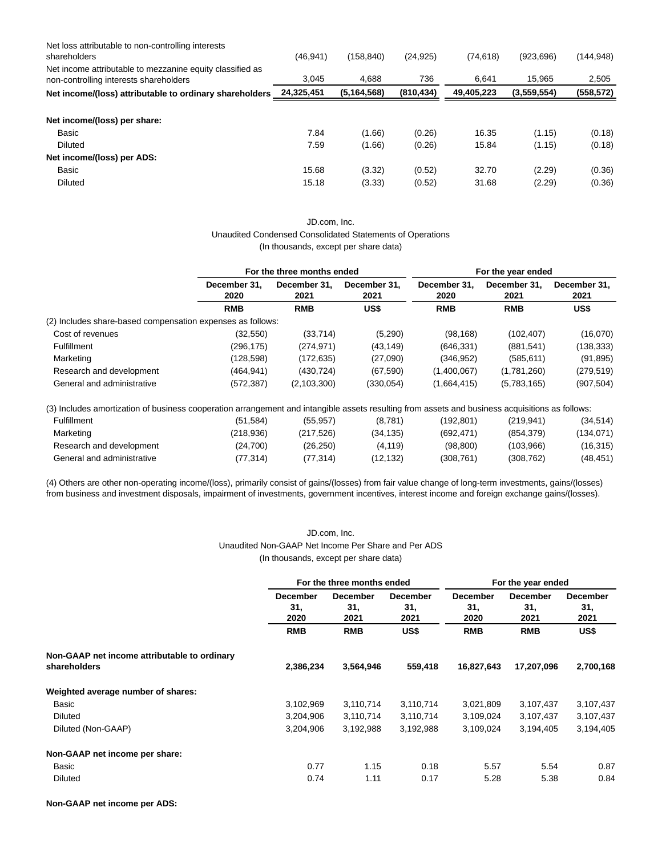| Net loss attributable to non-controlling interests<br>shareholders                                  | (46.941)   | (158.840)     | (24, 925)  | (74.618)   | (923.696)   | (144,948)  |
|-----------------------------------------------------------------------------------------------------|------------|---------------|------------|------------|-------------|------------|
| Net income attributable to mezzanine equity classified as<br>non-controlling interests shareholders | 3.045      | 4.688         | 736        | 6.641      | 15.965      | 2,505      |
| Net income/(loss) attributable to ordinary shareholders                                             | 24,325,451 | (5, 164, 568) | (810, 434) | 49,405,223 | (3,559,554) | (558, 572) |
|                                                                                                     |            |               |            |            |             |            |
| Net income/(loss) per share:                                                                        |            |               |            |            |             |            |
| Basic                                                                                               | 7.84       | (1.66)        | (0.26)     | 16.35      | (1.15)      | (0.18)     |
| <b>Diluted</b>                                                                                      | 7.59       | (1.66)        | (0.26)     | 15.84      | (1.15)      | (0.18)     |
| Net income/(loss) per ADS:                                                                          |            |               |            |            |             |            |
| Basic                                                                                               | 15.68      | (3.32)        | (0.52)     | 32.70      | (2.29)      | (0.36)     |
| <b>Diluted</b>                                                                                      | 15.18      | (3.33)        | (0.52)     | 31.68      | (2.29)      | (0.36)     |
|                                                                                                     |            |               |            |            |             |            |

## JD.com, Inc. Unaudited Condensed Consolidated Statements of Operations (In thousands, except per share data)

|                                                                                                                                                 |                      | For the three months ended |                      |                      | For the year ended   |                      |
|-------------------------------------------------------------------------------------------------------------------------------------------------|----------------------|----------------------------|----------------------|----------------------|----------------------|----------------------|
|                                                                                                                                                 | December 31.<br>2020 | December 31.<br>2021       | December 31.<br>2021 | December 31.<br>2020 | December 31.<br>2021 | December 31,<br>2021 |
|                                                                                                                                                 | <b>RMB</b>           | <b>RMB</b>                 | US\$                 | <b>RMB</b>           | <b>RMB</b>           | US\$                 |
| (2) Includes share-based compensation expenses as follows:                                                                                      |                      |                            |                      |                      |                      |                      |
| Cost of revenues                                                                                                                                | (32, 550)            | (33, 714)                  | (5,290)              | (98, 168)            | (102, 407)           | (16,070)             |
| <b>Fulfillment</b>                                                                                                                              | (296.175)            | (274, 971)                 | (43, 149)            | (646, 331)           | (881, 541)           | (138, 333)           |
| Marketing                                                                                                                                       | (128,598)            | (172, 635)                 | (27,090)             | (346, 952)           | (585, 611)           | (91, 895)            |
| Research and development                                                                                                                        | (464,941)            | (430,724)                  | (67, 590)            | (1,400,067)          | (1,781,260)          | (279, 519)           |
| General and administrative                                                                                                                      | (572, 387)           | (2, 103, 300)              | (330, 054)           | (1,664,415)          | (5,783,165)          | (907, 504)           |
| (3) Includes amortization of business cooperation arrangement and intangible assets resulting from assets and business acquisitions as follows: |                      |                            |                      |                      |                      |                      |
| <b>Fulfillment</b>                                                                                                                              | (51, 584)            | (55, 957)                  | (8,781)              | (192,801)            | (219, 941)           | (34, 514)            |
| Marketing                                                                                                                                       | (218, 936)           | (217, 526)                 | (34, 135)            | (692, 471)           | (854, 379)           | (134, 071)           |
| Research and development                                                                                                                        | (24,700)             | (26, 250)                  | (4, 119)             | (98, 800)            | (103,966)            | (16,315)             |
| General and administrative                                                                                                                      | (77, 314)            | (77, 314)                  | (12,132)             | (308, 761)           | (308, 762)           | (48, 451)            |

(4) Others are other non-operating income/(loss), primarily consist of gains/(losses) from fair value change of long-term investments, gains/(losses) from business and investment disposals, impairment of investments, government incentives, interest income and foreign exchange gains/(losses).

## JD.com, Inc. Unaudited Non-GAAP Net Income Per Share and Per ADS (In thousands, except per share data)

|                                              |                                | For the three months ended                                       |           | For the year ended             |                                |                                |  |
|----------------------------------------------|--------------------------------|------------------------------------------------------------------|-----------|--------------------------------|--------------------------------|--------------------------------|--|
|                                              | <b>December</b><br>31,<br>2020 | <b>December</b><br><b>December</b><br>31.<br>31.<br>2021<br>2021 |           | <b>December</b><br>31,<br>2020 | <b>December</b><br>31,<br>2021 | <b>December</b><br>31,<br>2021 |  |
|                                              | <b>RMB</b>                     | <b>RMB</b>                                                       | US\$      | <b>RMB</b>                     | <b>RMB</b>                     | US\$                           |  |
| Non-GAAP net income attributable to ordinary |                                |                                                                  |           |                                |                                |                                |  |
| shareholders                                 | 2,386,234                      | 3,564,946                                                        | 559,418   | 16,827,643                     | 17,207,096                     | 2,700,168                      |  |
| Weighted average number of shares:           |                                |                                                                  |           |                                |                                |                                |  |
| Basic                                        | 3,102,969                      | 3,110,714                                                        | 3,110,714 | 3,021,809                      | 3,107,437                      | 3,107,437                      |  |
| <b>Diluted</b>                               | 3,204,906                      | 3,110,714                                                        | 3,110,714 | 3,109,024                      | 3,107,437                      | 3,107,437                      |  |
| Diluted (Non-GAAP)                           | 3,204,906                      | 3,192,988                                                        | 3,192,988 | 3,109,024                      | 3,194,405                      | 3,194,405                      |  |
| Non-GAAP net income per share:               |                                |                                                                  |           |                                |                                |                                |  |
| Basic                                        | 0.77                           | 1.15                                                             | 0.18      | 5.57                           | 5.54                           | 0.87                           |  |
| <b>Diluted</b>                               | 0.74                           | 1.11                                                             | 0.17      | 5.28                           | 5.38                           | 0.84                           |  |

**Non-GAAP net income per ADS:**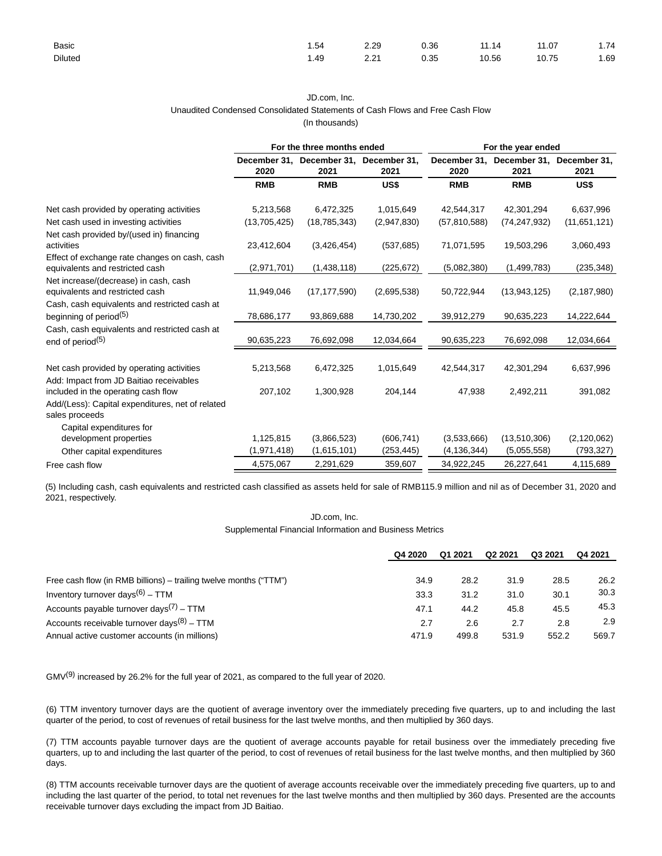| Basic          | . 54 | 2.29<br>___ | 0.36 | 11.14 | 11.07 | 1.74 |
|----------------|------|-------------|------|-------|-------|------|
| <b>Diluted</b> | .49  | 2.21        | 0.35 | 10.56 | 10.75 | 1.69 |

## JD.com, Inc. Unaudited Condensed Consolidated Statements of Cash Flows and Free Cash Flow (In thousands)

|                                                                                     |                                                        | For the three months ended |             | For the year ended   |                                   |               |  |
|-------------------------------------------------------------------------------------|--------------------------------------------------------|----------------------------|-------------|----------------------|-----------------------------------|---------------|--|
|                                                                                     | December 31, December 31, December 31,<br>2020<br>2021 |                            | 2021        | December 31,<br>2020 | December 31, December 31,<br>2021 | 2021          |  |
|                                                                                     | <b>RMB</b>                                             | <b>RMB</b>                 | US\$        | <b>RMB</b>           | <b>RMB</b>                        | US\$          |  |
| Net cash provided by operating activities                                           | 5,213,568                                              | 6,472,325                  | 1,015,649   | 42,544,317           | 42,301,294                        | 6,637,996     |  |
| Net cash used in investing activities                                               | (13,705,425)                                           | (18, 785, 343)             | (2,947,830) | (57, 810, 588)       | (74, 247, 932)                    | (11,651,121)  |  |
| Net cash provided by/(used in) financing<br>activities                              | 23,412,604                                             | (3,426,454)                | (537, 685)  | 71,071,595           | 19,503,296                        | 3,060,493     |  |
| Effect of exchange rate changes on cash, cash<br>equivalents and restricted cash    | (2,971,701)                                            | (1,438,118)                | (225,672)   | (5,082,380)          | (1,499,783)                       | (235, 348)    |  |
| Net increase/(decrease) in cash, cash<br>equivalents and restricted cash            | 11,949,046                                             | (17, 177, 590)             | (2,695,538) | 50,722,944           | (13, 943, 125)                    | (2, 187, 980) |  |
| Cash, cash equivalents and restricted cash at<br>beginning of period <sup>(5)</sup> | 78,686,177                                             | 93,869,688                 | 14,730,202  | 39,912,279           | 90,635,223                        | 14,222,644    |  |
| Cash, cash equivalents and restricted cash at<br>end of period <sup>(5)</sup>       | 90,635,223                                             | 76,692,098                 | 12,034,664  | 90,635,223           | 76,692,098                        | 12,034,664    |  |
| Net cash provided by operating activities                                           | 5,213,568                                              | 6,472,325                  | 1,015,649   | 42,544,317           | 42,301,294                        | 6,637,996     |  |
| Add: Impact from JD Baitiao receivables<br>included in the operating cash flow      | 207,102                                                | 1,300,928                  | 204,144     | 47,938               | 2,492,211                         | 391,082       |  |
| Add/(Less): Capital expenditures, net of related<br>sales proceeds                  |                                                        |                            |             |                      |                                   |               |  |
| Capital expenditures for                                                            |                                                        |                            |             |                      |                                   |               |  |
| development properties                                                              | 1,125,815                                              | (3,866,523)                | (606, 741)  | (3,533,666)          | (13,510,306)                      | (2,120,062)   |  |
| Other capital expenditures                                                          | (1,971,418)                                            | (1,615,101)                | (253, 445)  | (4, 136, 344)        | (5,055,558)                       | (793, 327)    |  |
| Free cash flow                                                                      | 4,575,067                                              | 2,291,629                  | 359,607     | 34,922,245           | 26,227,641                        | 4,115,689     |  |

(5) Including cash, cash equivalents and restricted cash classified as assets held for sale of RMB115.9 million and nil as of December 31, 2020 and 2021, respectively.

### JD.com, Inc. Supplemental Financial Information and Business Metrics

|                                                                   | Q4 2020 | Q1 2021 | Q2 2021 | Q3 2021 | Q4 2021 |
|-------------------------------------------------------------------|---------|---------|---------|---------|---------|
|                                                                   |         |         |         |         |         |
| Free cash flow (in RMB billions) – trailing twelve months ("TTM") | 34.9    | 28.2    | 31.9    | 28.5    | 26.2    |
| Inventory turnover days $(6)$ – TTM                               | 33.3    | 31.2    | 31.0    | 30.1    | 30.3    |
| Accounts payable turnover days <sup><math>(7)</math></sup> – TTM  | 47.1    | 44.2    | 45.8    | 45.5    | 45.3    |
| Accounts receivable turnover days $(8)$ – TTM                     | 2.7     | 2.6     | 2.7     | 2.8     | 2.9     |
| Annual active customer accounts (in millions)                     | 471.9   | 499.8   | 531.9   | 552.2   | 569.7   |

 $GMV<sup>(9)</sup>$  increased by 26.2% for the full year of 2021, as compared to the full year of 2020.

(6) TTM inventory turnover days are the quotient of average inventory over the immediately preceding five quarters, up to and including the last quarter of the period, to cost of revenues of retail business for the last twelve months, and then multiplied by 360 days.

(7) TTM accounts payable turnover days are the quotient of average accounts payable for retail business over the immediately preceding five quarters, up to and including the last quarter of the period, to cost of revenues of retail business for the last twelve months, and then multiplied by 360 days.

(8) TTM accounts receivable turnover days are the quotient of average accounts receivable over the immediately preceding five quarters, up to and including the last quarter of the period, to total net revenues for the last twelve months and then multiplied by 360 days. Presented are the accounts receivable turnover days excluding the impact from JD Baitiao.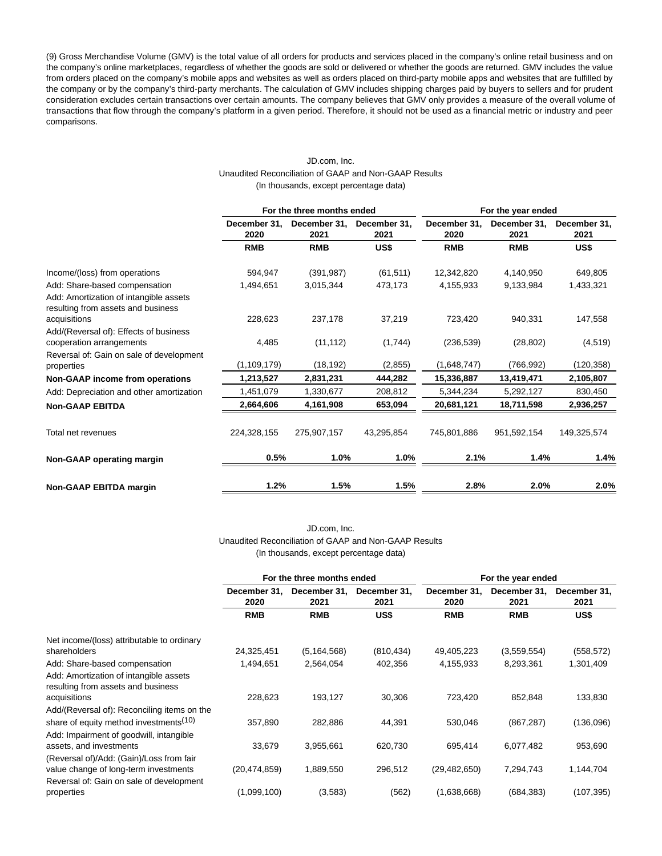(9) Gross Merchandise Volume (GMV) is the total value of all orders for products and services placed in the company's online retail business and on the company's online marketplaces, regardless of whether the goods are sold or delivered or whether the goods are returned. GMV includes the value from orders placed on the company's mobile apps and websites as well as orders placed on third-party mobile apps and websites that are fulfilled by the company or by the company's third-party merchants. The calculation of GMV includes shipping charges paid by buyers to sellers and for prudent consideration excludes certain transactions over certain amounts. The company believes that GMV only provides a measure of the overall volume of transactions that flow through the company's platform in a given period. Therefore, it should not be used as a financial metric or industry and peer comparisons.

## JD.com, Inc. Unaudited Reconciliation of GAAP and Non-GAAP Results (In thousands, except percentage data)

|                                                                              | For the three months ended |                                                |            | For the year ended   |                      |                      |  |
|------------------------------------------------------------------------------|----------------------------|------------------------------------------------|------------|----------------------|----------------------|----------------------|--|
|                                                                              | 2020                       | December 31, December 31, December 31,<br>2021 | 2021       | December 31,<br>2020 | December 31.<br>2021 | December 31,<br>2021 |  |
|                                                                              | <b>RMB</b>                 | <b>RMB</b>                                     | US\$       | <b>RMB</b>           | <b>RMB</b>           | US\$                 |  |
| Income/(loss) from operations                                                | 594,947                    | (391, 987)                                     | (61, 511)  | 12,342,820           | 4,140,950            | 649,805              |  |
| Add: Share-based compensation                                                | 1,494,651                  | 3,015,344                                      | 473,173    | 4,155,933            | 9,133,984            | 1,433,321            |  |
| Add: Amortization of intangible assets<br>resulting from assets and business |                            |                                                |            |                      |                      |                      |  |
| acquisitions                                                                 | 228,623                    | 237,178                                        | 37,219     | 723,420              | 940,331              | 147,558              |  |
| Add/(Reversal of): Effects of business<br>cooperation arrangements           | 4,485                      | (11, 112)                                      | (1,744)    | (236, 539)           | (28, 802)            | (4, 519)             |  |
| Reversal of: Gain on sale of development<br>properties                       | (1,109,179)                | (18, 192)                                      | (2,855)    | (1,648,747)          | (766, 992)           | (120, 358)           |  |
| Non-GAAP income from operations                                              | 1,213,527                  | 2,831,231                                      | 444,282    | 15,336,887           | 13,419,471           | 2,105,807            |  |
| Add: Depreciation and other amortization                                     | 1,451,079                  | 1,330,677                                      | 208,812    | 5,344,234            | 5,292,127            | 830,450              |  |
| <b>Non-GAAP EBITDA</b>                                                       | 2,664,606                  | 4,161,908                                      | 653,094    | 20,681,121           | 18,711,598           | 2,936,257            |  |
| Total net revenues                                                           | 224,328,155                | 275,907,157                                    | 43,295,854 | 745,801,886          | 951,592,154          | 149,325,574          |  |
| Non-GAAP operating margin                                                    | 0.5%                       | 1.0%                                           | 1.0%       | 2.1%                 | 1.4%                 | 1.4%                 |  |
| Non-GAAP EBITDA margin                                                       | 1.2%                       | 1.5%                                           | 1.5%       | 2.8%                 | 2.0%                 | 2.0%                 |  |

## JD.com, Inc. Unaudited Reconciliation of GAAP and Non-GAAP Results (In thousands, except percentage data)

|                                                                              |                      | For the three months ended                   |            | For the year ended   |                      |                      |  |
|------------------------------------------------------------------------------|----------------------|----------------------------------------------|------------|----------------------|----------------------|----------------------|--|
|                                                                              | December 31.<br>2020 | December 31.<br>December 31,<br>2021<br>2021 |            | December 31.<br>2020 | December 31,<br>2021 | December 31,<br>2021 |  |
|                                                                              | <b>RMB</b>           | <b>RMB</b>                                   | US\$       | <b>RMB</b>           | <b>RMB</b>           | US\$                 |  |
| Net income/(loss) attributable to ordinary                                   |                      |                                              |            |                      |                      |                      |  |
| shareholders                                                                 | 24,325,451           | (5, 164, 568)                                | (810, 434) | 49,405,223           | (3,559,554)          | (558, 572)           |  |
| Add: Share-based compensation                                                | 1,494,651            | 2,564,054                                    | 402,356    | 4,155,933            | 8,293,361            | 1,301,409            |  |
| Add: Amortization of intangible assets<br>resulting from assets and business |                      |                                              |            |                      |                      |                      |  |
| acquisitions                                                                 | 228,623              | 193.127                                      | 30,306     | 723.420              | 852,848              | 133,830              |  |
| Add/(Reversal of): Reconciling items on the                                  |                      |                                              |            |                      |                      |                      |  |
| share of equity method investments <sup>(10)</sup>                           | 357,890              | 282,886                                      | 44,391     | 530,046              | (867, 287)           | (136,096)            |  |
| Add: Impairment of goodwill, intangible                                      |                      |                                              |            |                      |                      |                      |  |
| assets, and investments                                                      | 33,679               | 3,955,661                                    | 620,730    | 695,414              | 6,077,482            | 953,690              |  |
| (Reversal of)/Add: (Gain)/Loss from fair                                     |                      |                                              |            |                      |                      |                      |  |
| value change of long-term investments                                        | (20, 474, 859)       | 1,889,550                                    | 296,512    | (29, 482, 650)       | 7,294,743            | 1,144,704            |  |
| Reversal of: Gain on sale of development                                     |                      |                                              |            |                      |                      |                      |  |
| properties                                                                   | (1,099,100)          | (3,583)                                      | (562)      | (1,638,668)          | (684, 383)           | (107, 395)           |  |